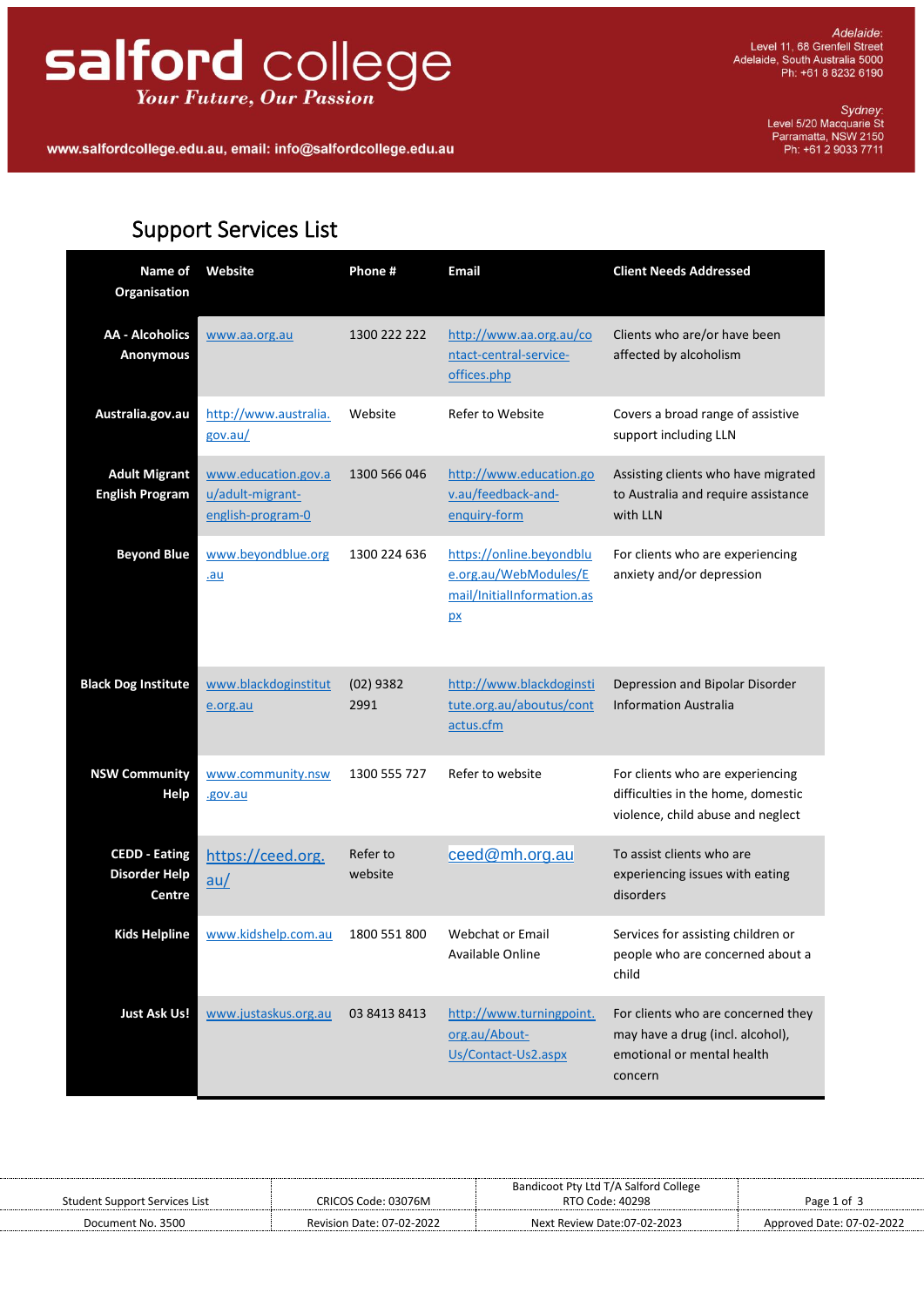## salford college **Your Future, Our Passion**

Sydney:<br>Level 5/20 Macquarie St<br>Parramatta, NSW 2150<br>Ph: +61 2 9033 7711

## **Support Services List**

. . . . . . . . . . . . . . . . . . .

| Name of<br>Organisation                                | Website                                                      | Phone #             | Email                                                                                        | <b>Client Needs Addressed</b>                                                                                   |
|--------------------------------------------------------|--------------------------------------------------------------|---------------------|----------------------------------------------------------------------------------------------|-----------------------------------------------------------------------------------------------------------------|
| <b>AA - Alcoholics</b><br><b>Anonymous</b>             | www.aa.org.au                                                | 1300 222 222        | http://www.aa.org.au/co<br>ntact-central-service-<br>offices.php                             | Clients who are/or have been<br>affected by alcoholism                                                          |
| Australia.gov.au                                       | http://www.australia.<br>gov.au/                             | Website             | Refer to Website                                                                             | Covers a broad range of assistive<br>support including LLN                                                      |
| <b>Adult Migrant</b><br><b>English Program</b>         | www.education.gov.a<br>u/adult-migrant-<br>english-program-0 | 1300 566 046        | http://www.education.go<br>v.au/feedback-and-<br>enquiry-form                                | Assisting clients who have migrated<br>to Australia and require assistance<br>with LLN                          |
| <b>Beyond Blue</b>                                     | www.beyondblue.org<br>.au                                    | 1300 224 636        | https://online.beyondblu<br>e.org.au/WebModules/E<br>mail/InitialInformation.as<br><u>px</u> | For clients who are experiencing<br>anxiety and/or depression                                                   |
| <b>Black Dog Institute</b>                             | www.blackdoginstitut<br>e.org.au                             | $(02)$ 9382<br>2991 | http://www.blackdoginsti<br>tute.org.au/aboutus/cont<br>actus.cfm                            | Depression and Bipolar Disorder<br><b>Information Australia</b>                                                 |
| <b>NSW Community</b><br>Help                           | www.community.nsw<br>.gov.au                                 | 1300 555 727        | Refer to website                                                                             | For clients who are experiencing<br>difficulties in the home, domestic<br>violence, child abuse and neglect     |
| <b>CEDD - Eating</b><br><b>Disorder Help</b><br>Centre | https://ceed.org.<br>au/                                     | Refer to<br>website | ceed@mh.org.au                                                                               | To assist clients who are<br>experiencing issues with eating<br>disorders                                       |
| <b>Kids Helpline</b>                                   | www.kidshelp.com.au                                          | 1800 551 800        | <b>Webchat or Email</b><br>Available Online                                                  | Services for assisting children or<br>people who are concerned about a<br>child                                 |
| <b>Just Ask Us!</b>                                    | www.justaskus.org.au                                         | 03 8413 8413        | http://www.turningpoint.<br>org.au/About-<br>Us/Contact-Us2.aspx                             | For clients who are concerned they<br>may have a drug (incl. alcohol),<br>emotional or mental health<br>concern |

|                               |                           | Bandicoot Pty Ltd T/A Salford College |                           |
|-------------------------------|---------------------------|---------------------------------------|---------------------------|
| Student Support Services List | CRICOS Code: 03076M       | RTO Code: 40298                       | Page 1 of 3               |
| Document No. 3500             | Revision Date: 07-02-2022 | Next Review Date:07-02-2023           | Approved Date: 07-02-2022 |
|                               |                           |                                       |                           |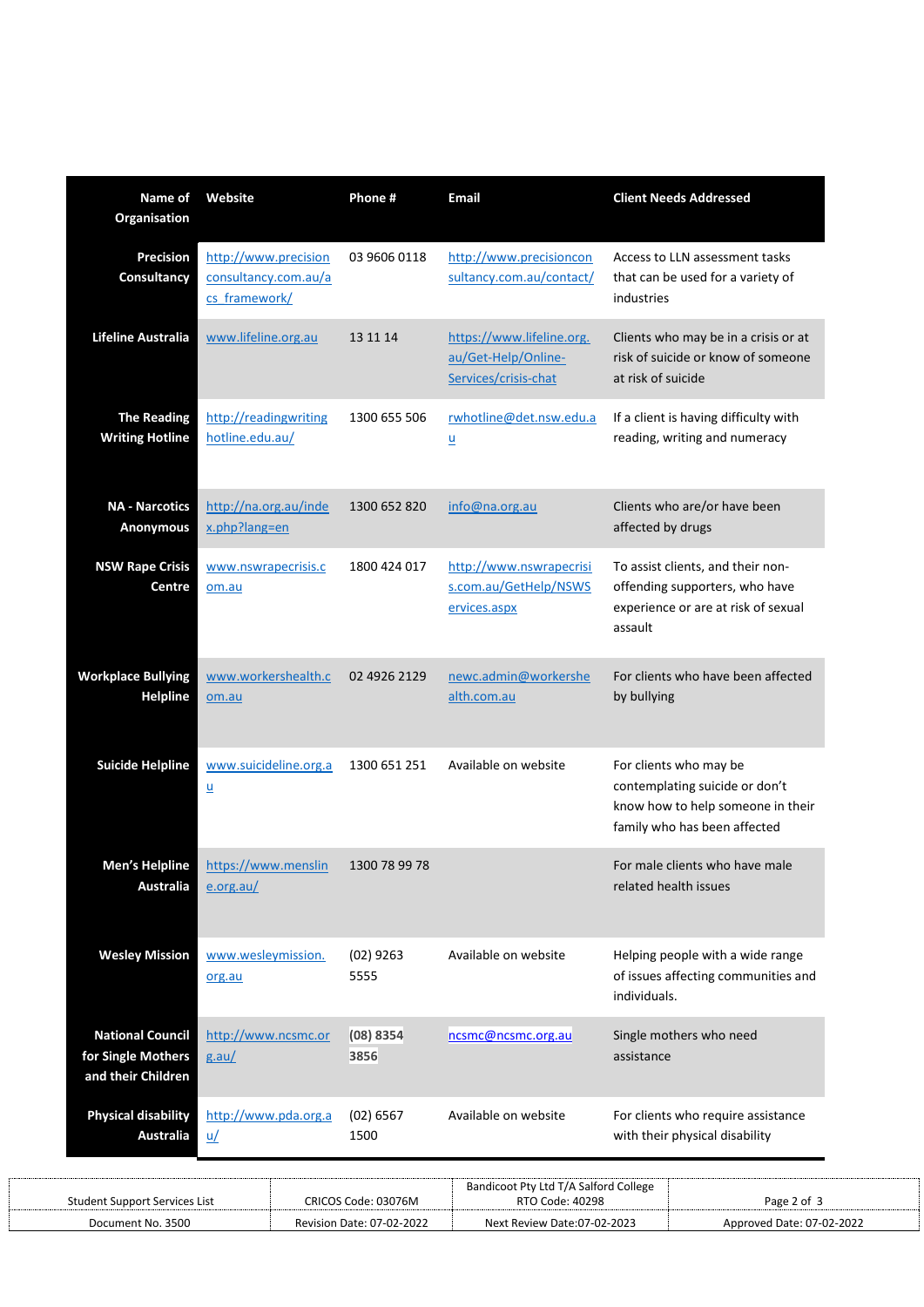| Name of<br>Organisation                                             | Website                                                       | Phone#              | <b>Email</b>                                                             | <b>Client Needs Addressed</b>                                                                                                 |
|---------------------------------------------------------------------|---------------------------------------------------------------|---------------------|--------------------------------------------------------------------------|-------------------------------------------------------------------------------------------------------------------------------|
| Precision<br>Consultancy                                            | http://www.precision<br>consultancy.com.au/a<br>cs framework/ | 03 9606 0118        | http://www.precisioncon<br>sultancy.com.au/contact/                      | Access to LLN assessment tasks<br>that can be used for a variety of<br>industries                                             |
| Lifeline Australia                                                  | www.lifeline.org.au                                           | 13 11 14            | https://www.lifeline.org.<br>au/Get-Help/Online-<br>Services/crisis-chat | Clients who may be in a crisis or at<br>risk of suicide or know of someone<br>at risk of suicide                              |
| <b>The Reading</b><br><b>Writing Hotline</b>                        | http://readingwriting<br>hotline.edu.au/                      | 1300 655 506        | rwhotline@det.nsw.edu.a<br>$\underline{\mathsf{u}}$                      | If a client is having difficulty with<br>reading, writing and numeracy                                                        |
| <b>NA - Narcotics</b><br>Anonymous                                  | http://na.org.au/inde<br>x.php?lang=en                        | 1300 652 820        | info@na.org.au                                                           | Clients who are/or have been<br>affected by drugs                                                                             |
| <b>NSW Rape Crisis</b><br>Centre                                    | www.nswrapecrisis.c<br>om.au                                  | 1800 424 017        | http://www.nswrapecrisi<br>s.com.au/GetHelp/NSWS<br>ervices.aspx         | To assist clients, and their non-<br>offending supporters, who have<br>experience or are at risk of sexual<br>assault         |
| <b>Workplace Bullying</b><br><b>Helpline</b>                        | www.workershealth.c<br>om.au                                  | 02 4926 2129        | newc.admin@workershe<br>alth.com.au                                      | For clients who have been affected<br>by bullying                                                                             |
| <b>Suicide Helpline</b>                                             | www.suicideline.org.a<br>$\underline{\mathsf{u}}$             | 1300 651 251        | Available on website                                                     | For clients who may be<br>contemplating suicide or don't<br>know how to help someone in their<br>family who has been affected |
| <b>Men's Helpline</b><br><b>Australia</b>                           | https://www.menslin<br>e.org.au/                              | 1300 78 99 78       |                                                                          | For male clients who have male<br>related health issues                                                                       |
| <b>Wesley Mission</b>                                               | www.wesleymission.<br>org.au                                  | $(02)$ 9263<br>5555 | Available on website                                                     | Helping people with a wide range<br>of issues affecting communities and<br>individuals.                                       |
| <b>National Council</b><br>for Single Mothers<br>and their Children | http://www.ncsmc.or<br>g.au/                                  | (08) 8354<br>3856   | ncsmc@ncsmc.org.au                                                       | Single mothers who need<br>assistance                                                                                         |
| <b>Physical disability</b><br><b>Australia</b>                      | http://www.pda.org.a<br>$u$                                   | (02) 6567<br>1500   | Available on website                                                     | For clients who require assistance<br>with their physical disability                                                          |

|                               |                                  | Bandicoot Pty Ltd T/A Salford College |                           |
|-------------------------------|----------------------------------|---------------------------------------|---------------------------|
| Student Support Services List | CRICOS Code: 03076M              | RTO Code: 40298                       | Page 2 of                 |
| Document No. 3500             | <b>Revision Date: 07-02-2022</b> | Next Review Date:07-02-2023           | Approved Date: 07-02-2022 |